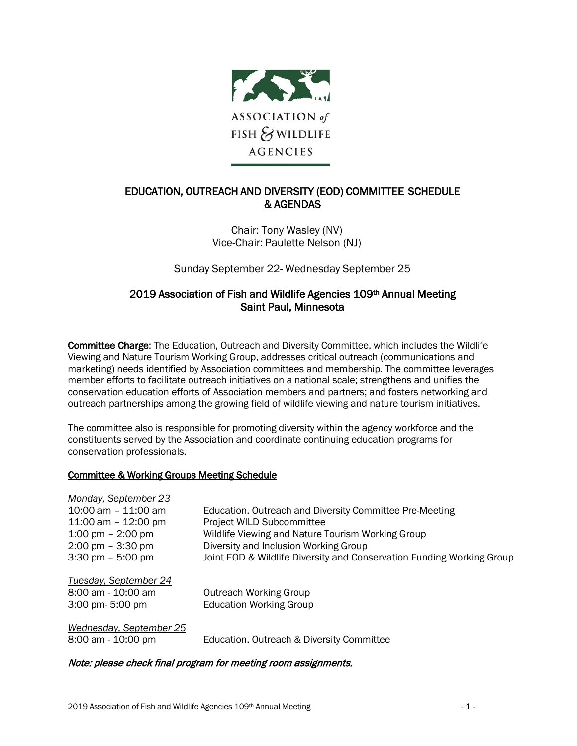

# EDUCATION, OUTREACH AND DIVERSITY (EOD) COMMITTEE SCHEDULE & AGENDAS

Chair: Tony Wasley (NV) Vice-Chair: Paulette Nelson (NJ)

Sunday September 22- Wednesday September 25

# 2019 Association of Fish and Wildlife Agencies 109th Annual Meeting Saint Paul, Minnesota

Committee Charge: The Education, Outreach and Diversity Committee, which includes the Wildlife Viewing and Nature Tourism Working Group, addresses critical outreach (communications and marketing) needs identified by Association committees and membership. The committee leverages member efforts to facilitate outreach initiatives on a national scale; strengthens and unifies the conservation education efforts of Association members and partners; and fosters networking and outreach partnerships among the growing field of wildlife viewing and nature tourism initiatives.

The committee also is responsible for promoting diversity within the agency workforce and the constituents served by the Association and coordinate continuing education programs for conservation professionals.

# Committee & Working Groups Meeting Schedule

| Monday, September 23                |                                                                       |
|-------------------------------------|-----------------------------------------------------------------------|
| $10:00$ am $-11:00$ am              | Education, Outreach and Diversity Committee Pre-Meeting               |
| 11:00 am $-$ 12:00 pm               | <b>Project WILD Subcommittee</b>                                      |
| 1:00 pm $-$ 2:00 pm                 | Wildlife Viewing and Nature Tourism Working Group                     |
| $2:00 \text{ pm} - 3:30 \text{ pm}$ | Diversity and Inclusion Working Group                                 |
| $3:30 \text{ pm} - 5:00 \text{ pm}$ | Joint EOD & Wildlife Diversity and Conservation Funding Working Group |
| Tuesday, September 24               |                                                                       |
| 8:00 am - 10:00 am                  | <b>Outreach Working Group</b>                                         |
| 3:00 pm- 5:00 pm                    | <b>Education Working Group</b>                                        |
| Wednesday, September 25             |                                                                       |
| 8:00 am - 10:00 pm                  | Education, Outreach & Diversity Committee                             |

### Note: please check final program for meeting room assignments.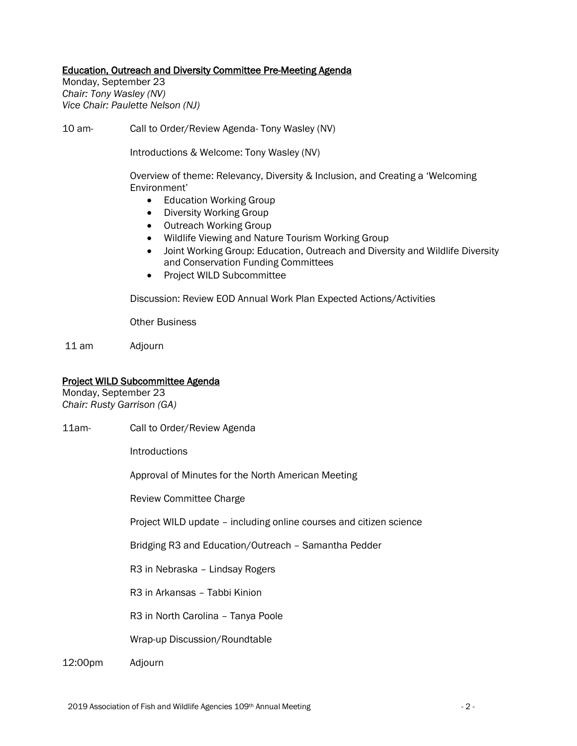### Education, Outreach and Diversity Committee Pre-Meeting Agenda

Monday, September 23 *Chair: Tony Wasley (NV) Vice Chair: Paulette Nelson (NJ)*

10 am- Call to Order/Review Agenda- Tony Wasley (NV)

Introductions & Welcome: Tony Wasley (NV)

Overview of theme: Relevancy, Diversity & Inclusion, and Creating a 'Welcoming Environment'

- Education Working Group
- Diversity Working Group
- Outreach Working Group
- Wildlife Viewing and Nature Tourism Working Group
- Joint Working Group: Education, Outreach and Diversity and Wildlife Diversity and Conservation Funding Committees
- Project WILD Subcommittee

Discussion: Review EOD Annual Work Plan Expected Actions/Activities

Other Business

11 am Adjourn

#### Project WILD Subcommittee Agenda

Monday, September 23 *Chair: Rusty Garrison (GA)*

11am- Call to Order/Review Agenda

**Introductions** 

Approval of Minutes for the North American Meeting

Review Committee Charge

Project WILD update – including online courses and citizen science

Bridging R3 and Education/Outreach – Samantha Pedder

R3 in Nebraska – Lindsay Rogers

R3 in Arkansas – Tabbi Kinion

R3 in North Carolina – Tanya Poole

Wrap-up Discussion/Roundtable

12:00pm Adjourn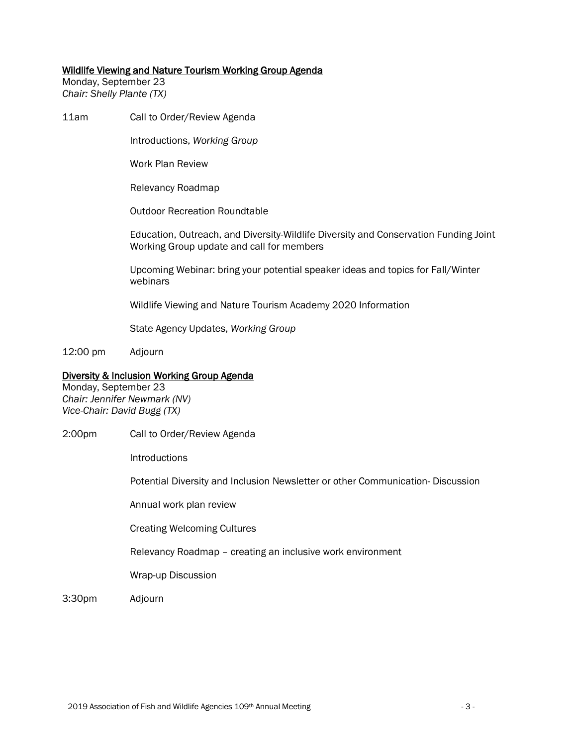#### Wildlife Viewing and Nature Tourism Working Group Agenda

Monday, September 23 *Chair: Shelly Plante (TX)*

11am Call to Order/Review Agenda

Introductions, *Working Group*

Work Plan Review

Relevancy Roadmap

Outdoor Recreation Roundtable

Education, Outreach, and Diversity-Wildlife Diversity and Conservation Funding Joint Working Group update and call for members

Upcoming Webinar: bring your potential speaker ideas and topics for Fall/Winter webinars

Wildlife Viewing and Nature Tourism Academy 2020 Information

State Agency Updates, *Working Group*

12:00 pm Adjourn

### Diversity & Inclusion Working Group Agenda

Monday, September 23 *Chair: Jennifer Newmark (NV) Vice-Chair: David Bugg (TX)*

2:00pm Call to Order/Review Agenda

Introductions

Potential Diversity and Inclusion Newsletter or other Communication- Discussion

Annual work plan review

Creating Welcoming Cultures

Relevancy Roadmap – creating an inclusive work environment

Wrap-up Discussion

3:30pm Adjourn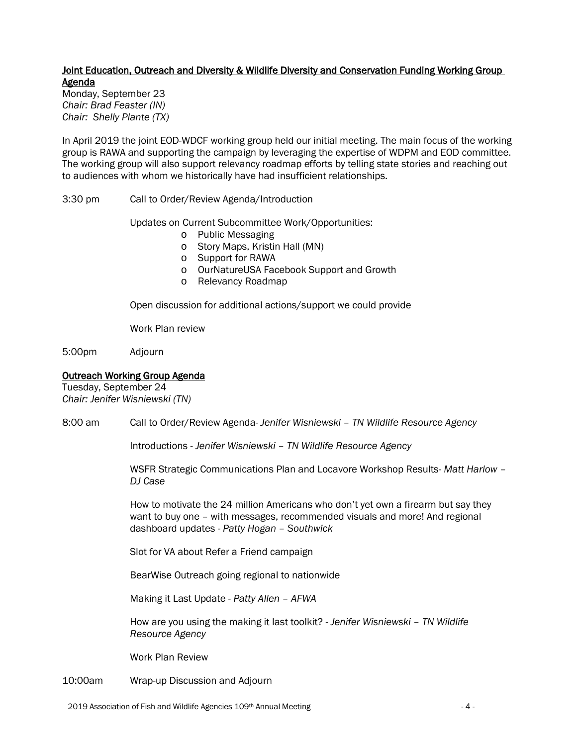# Joint Education, Outreach and Diversity & Wildlife Diversity and Conservation Funding Working Group Agenda

Monday, September 23 *Chair: Brad Feaster (IN) Chair: Shelly Plante (TX)*

In April 2019 the joint EOD-WDCF working group held our initial meeting. The main focus of the working group is RAWA and supporting the campaign by leveraging the expertise of WDPM and EOD committee. The working group will also support relevancy roadmap efforts by telling state stories and reaching out to audiences with whom we historically have had insufficient relationships.

3:30 pm Call to Order/Review Agenda/Introduction

Updates on Current Subcommittee Work/Opportunities:

- o Public Messaging
- o Story Maps, Kristin Hall (MN)
- o Support for RAWA
- o OurNatureUSA Facebook Support and Growth
- o Relevancy Roadmap

Open discussion for additional actions/support we could provide

Work Plan review

5:00pm Adjourn

## Outreach Working Group Agenda

Tuesday, September 24 *Chair: Jenifer Wisniewski (TN)*

8:00 am Call to Order/Review Agenda- *Jenifer Wisniewski – TN Wildlife Resource Agency*

Introductions - *Jenifer Wisniewski – TN Wildlife Resource Agency*

WSFR Strategic Communications Plan and Locavore Workshop Results- *Matt Harlow – DJ Case*

How to motivate the 24 million Americans who don't yet own a firearm but say they want to buy one – with messages, recommended visuals and more! And regional dashboard updates - *Patty Hogan – Southwick*

Slot for VA about Refer a Friend campaign

BearWise Outreach going regional to nationwide

Making it Last Update - *Patty Allen – AFWA*

How are you using the making it last toolkit? - *Jenifer Wisniewski – TN Wildlife Resource Agency*

Work Plan Review

10:00am Wrap-up Discussion and Adjourn